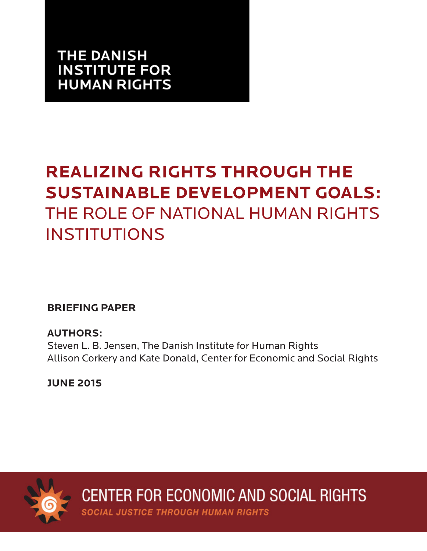# **THE DANISH INSTITUTE FOR HUMAN RIGHTS**

# **REALIZING RIGHTS THROUGH THE SUSTAINABLE DEVELOPMENT GOALS:** THE ROLE OF NATIONAL HUMAN RIGHTS INSTITUTIONS

**BRIEFING PAPER**

**AUTHORS:** Steven L. B. Jensen, The Danish Institute for Human Rights Allison Corkery and Kate Donald, Center for Economic and Social Rights

**JUNE 2015**



**CENTER FOR ECONOMIC AND SOCIAL RIGHTS** 

**SOCIAL JUSTICE THROUGH HUMAN RIGHTS**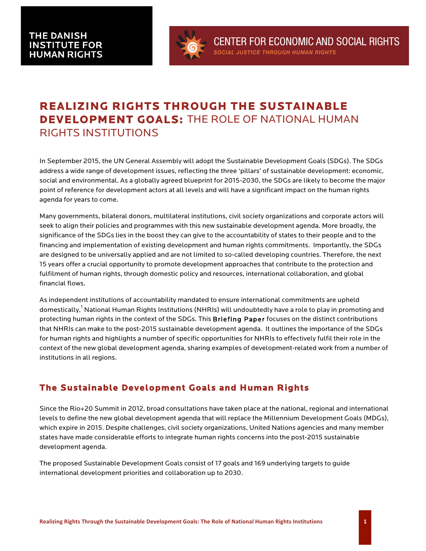

## **REALIZING RIGHTS THROUGH THE SUSTAINABLE DEVELOPMENT GOALS:** THE ROLE OF NATIONAL HUMAN RIGHTS INSTITUTIONS

In September 2015, the UN General Assembly will adopt the Sustainable Development Goals (SDGs). The SDGs address a wide range of development issues, reflecting the three 'pillars' of sustainable development: economic, social and environmental. As a globally agreed blueprint for 2015-2030, the SDGs are likely to become the major point of reference for development actors at all levels and will have a significant impact on the human rights agenda for years to come.

Many governments, bilateral donors, multilateral institutions, civil society organizations and corporate actors will seek to align their policies and programmes with this new sustainable development agenda. More broadly, the significance of the SDGs lies in the boost they can give to the accountability of states to their people and to the financing and implementation of existing development and human rights commitments. Importantly, the SDGs are designed to be universally applied and are not limited to so-called developing countries. Therefore, the next 15 years offer a crucial opportunity to promote development approaches that contribute to the protection and fulfilment of human rights, through domestic policy and resources, international collaboration, and global financial flows.

As independent institutions of accountability mandated to ensure international commitments are upheld domestically,<sup>1</sup> National Human Rights Institutions (NHRIs) will undoubtedly have a role to play in promoting and protecting human rights in the context of the SDGs. This **Briefing Paper** focuses on the distinct contributions that NHRIs can make to the post-2015 sustainable development agenda. It outlines the importance of the SDGs for human rights and highlights a number of specific opportunities for NHRIs to effectively fulfil their role in the context of the new global development agenda, sharing examples of development-related work from a number of institutions in all regions.

## **The Sustainable Development Goals and Human Rights**

Since the Rio+20 Summit in 2012, broad consultations have taken place at the national, regional and international levels to define the new global development agenda that will replace the Millennium Development Goals (MDGs), which expire in 2015. Despite challenges, civil society organizations, United Nations agencies and many member states have made considerable efforts to integrate human rights concerns into the post-2015 sustainable development agenda.

The proposed Sustainable Development Goals consist of 17 goals and 169 underlying targets to guide international development priorities and collaboration up to 2030.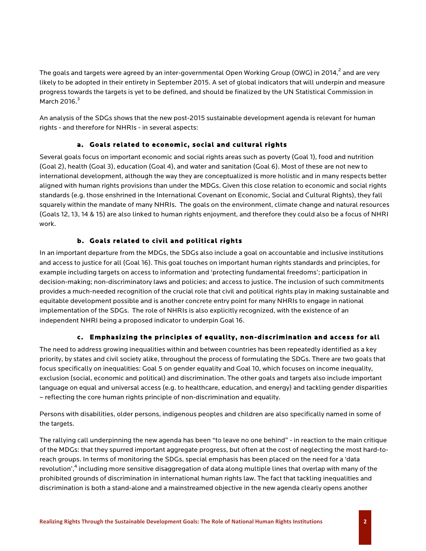The goals and targets were agreed by an inter-governmental Open Working Group (OWG) in 2014,<sup>2</sup> and are very likely to be adopted in their entirety in September 2015. A set of global indicators that will underpin and measure progress towards the targets is yet to be defined, and should be finalized by the UN Statistical Commission in March 2016. $3$ 

An analysis of the SDGs shows that the new post-2015 sustainable development agenda is relevant for human rights - and therefore for NHRIs - in several aspects:

#### **a. Goals related to economic, social and cultural rights**

Several goals focus on important economic and social rights areas such as poverty (Goal 1), food and nutrition (Goal 2), health (Goal 3), education (Goal 4), and water and sanitation (Goal 6). Most of these are not new to international development, although the way they are conceptualized is more holistic and in many respects better aligned with human rights provisions than under the MDGs. Given this close relation to economic and social rights standards (e.g. those enshrined in the International Covenant on Economic, Social and Cultural Rights), they fall squarely within the mandate of many NHRIs. The goals on the environment, climate change and natural resources (Goals 12, 13, 14 & 15) are also linked to human rights enjoyment, and therefore they could also be a focus of NHRI work.

### **b. Goals related to civil and political rights**

In an important departure from the MDGs, the SDGs also include a goal on accountable and inclusive institutions and access to justice for all (Goal 16). This goal touches on important human rights standards and principles, for example including targets on access to information and 'protecting fundamental freedoms'; participation in decision-making; non-discriminatory laws and policies; and access to justice. The inclusion of such commitments provides a much-needed recognition of the crucial role that civil and political rights play in making sustainable and equitable development possible and is another concrete entry point for many NHRIs to engage in national implementation of the SDGs. The role of NHRIs is also explicitly recognized, with the existence of an independent NHRI being a proposed indicator to underpin Goal 16.

### **c. Emphasizing the principles of equality, non-discrimination and access for all**

The need to address growing inequalities within and between countries has been repeatedly identified as a key priority, by states and civil society alike, throughout the process of formulating the SDGs. There are two goals that focus specifically on inequalities: Goal 5 on gender equality and Goal 10, which focuses on income inequality, exclusion (social, economic and political) and discrimination. The other goals and targets also include important language on equal and universal access (e.g. to healthcare, education, and energy) and tackling gender disparities – reflecting the core human rights principle of non-discrimination and equality.

Persons with disabilities, older persons, indigenous peoples and children are also specifically named in some of the targets.

The rallying call underpinning the new agenda has been "to leave no one behind" - in reaction to the main critique of the MDGs: that they spurred important aggregate progress, but often at the cost of neglecting the most hard-toreach groups. In terms of monitoring the SDGs, special emphasis has been placed on the need for a 'data revolution',<sup>4</sup> including more sensitive disaggregation of data along multiple lines that overlap with many of the prohibited grounds of discrimination in international human rights law. The fact that tackling inequalities and discrimination is both a stand-alone and a mainstreamed objective in the new agenda clearly opens another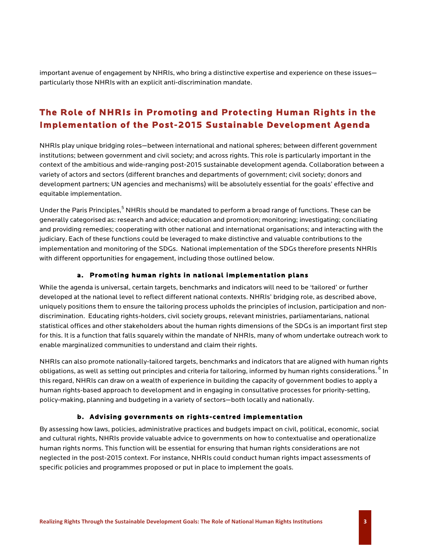important avenue of engagement by NHRIs, who bring a distinctive expertise and experience on these issues particularly those NHRIs with an explicit anti-discrimination mandate.

## **The Role of NHRIs in Promoting and Protecting Human Rights in the Implementation of the Post-2015 Sustainable Development Agenda**

NHRIs play unique bridging roles—between international and national spheres; between different government institutions; between government and civil society; and across rights. This role is particularly important in the context of the ambitious and wide-ranging post-2015 sustainable development agenda. Collaboration between a variety of actors and sectors (different branches and departments of government; civil society; donors and development partners; UN agencies and mechanisms) will be absolutely essential for the goals' effective and equitable implementation.

Under the Paris Principles,<sup>5</sup> NHRIs should be mandated to perform a broad range of functions. These can be generally categorised as: research and advice; education and promotion; monitoring; investigating; conciliating and providing remedies; cooperating with other national and international organisations; and interacting with the judiciary. Each of these functions could be leveraged to make distinctive and valuable contributions to the implementation and monitoring of the SDGs. National implementation of the SDGs therefore presents NHRIs with different opportunities for engagement, including those outlined below.

#### **a. Promoting human rights in national implementation plans**

While the agenda is universal, certain targets, benchmarks and indicators will need to be 'tailored' or further developed at the national level to reflect different national contexts. NHRIs' bridging role, as described above, uniquely positions them to ensure the tailoring process upholds the principles of inclusion, participation and nondiscrimination. Educating rights-holders, civil society groups, relevant ministries, parliamentarians, national statistical offices and other stakeholders about the human rights dimensions of the SDGs is an important first step for this. It is a function that falls squarely within the mandate of NHRIs, many of whom undertake outreach work to enable marginalized communities to understand and claim their rights.

NHRIs can also promote nationally-tailored targets, benchmarks and indicators that are aligned with human rights obligations, as well as setting out principles and criteria for tailoring, informed by human rights considerations. <sup>6</sup> In this regard, NHRIs can draw on a wealth of experience in building the capacity of government bodies to apply a human rights-based approach to development and in engaging in consultative processes for priority-setting, policy-making, planning and budgeting in a variety of sectors—both locally and nationally.

#### **b. Advising governments on rights-centred implementation**

By assessing how laws, policies, administrative practices and budgets impact on civil, political, economic, social and cultural rights, NHRIs provide valuable advice to governments on how to contextualise and operationalize human rights norms. This function will be essential for ensuring that human rights considerations are not neglected in the post-2015 context. For instance, NHRIs could conduct human rights impact assessments of specific policies and programmes proposed or put in place to implement the goals.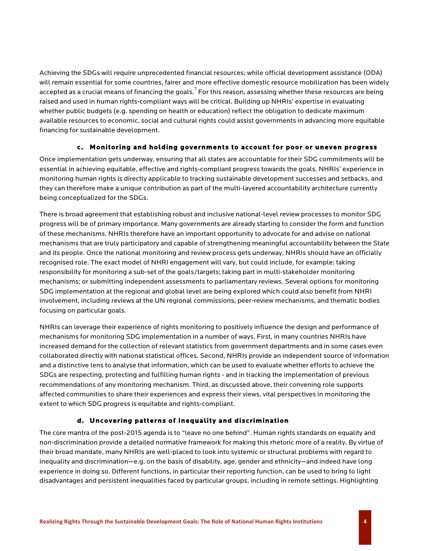Achieving the SDGs will require unprecedented financial resources; while official development assistance (ODA) will remain essential for some countries, fairer and more effective domestic resource mobilization has been widely accepted as a crucial means of financing the goals. $^7$  For this reason, assessing whether these resources are being raised and used in human rights-compliant ways will be critical. Building up NHRIs' expertise in evaluating whether public budgets (e.g. spending on health or education) reflect the obligation to dedicate maximum available resources to economic, social and cultural rights could assist governments in advancing more equitable financing for sustainable development.

#### **c. Monitoring and holding governments to account for poor or uneven progress**

Once implementation gets underway, ensuring that all states are accountable for their SDG commitments will be essential in achieving equitable, effective and rights-compliant progress towards the goals. NHRIs' experience in monitoring human rights is directly applicable to tracking sustainable development successes and setbacks, and they can therefore make a unique contribution as part of the multi-layered accountability architecture currently being conceptualized for the SDGs.

There is broad agreement that establishing robust and inclusive national-level review processes to monitor SDG progress will be of primary importance. Many governments are already starting to consider the form and function of these mechanisms. NHRIs therefore have an important opportunity to advocate for and advise on national mechanisms that are truly participatory and capable of strengthening meaningful accountability between the State and its people. Once the national monitoring and review process gets underway, NHRIs should have an officially recognised role. The exact model of NHRI engagement will vary, but could include, for example: taking responsibility for monitoring a sub-set of the goals/targets; taking part in multi-stakeholder monitoring mechanisms; or submitting independent assessments to parliamentary reviews. Several options for monitoring SDG implementation at the regional and global level are being explored which could also benefit from NHRI involvement, including reviews at the UN regional commissions, peer-review mechanisms, and thematic bodies focusing on particular goals.

NHRIs can leverage their experience of rights monitoring to positively influence the design and performance of mechanisms for monitoring SDG implementation in a number of ways. First, in many countries NHRIs have increased demand for the collection of relevant statistics from government departments and in some cases even collaborated directly with national statistical offices. Second, NHRIs provide an independent source of information and a distinctive lens to analyse that information, which can be used to evaluate whether efforts to achieve the SDGs are respecting, protecting and fulfilling human rights - and in tracking the implementation of previous recommendations of any monitoring mechanism. Third, as discussed above, their convening role supports affected communities to share their experiences and express their views, vital perspectives in monitoring the extent to which SDG progress is equitable and rights-compliant.

### **d. Uncovering patterns of inequality and discrimination**

The core mantra of the post-2015 agenda is to "leave no one behind". Human rights standards on equality and non-discrimination provide a detailed normative framework for making this rhetoric more of a reality. By virtue of their broad mandate, many NHRIs are well-placed to look into systemic or structural problems with regard to inequality and discrimination—e.g. on the basis of disability, age, gender and ethnicity—and indeed have long experience in doing so. Different functions, in particular their reporting function, can be used to bring to light disadvantages and persistent inequalities faced by particular groups, including in remote settings. Highlighting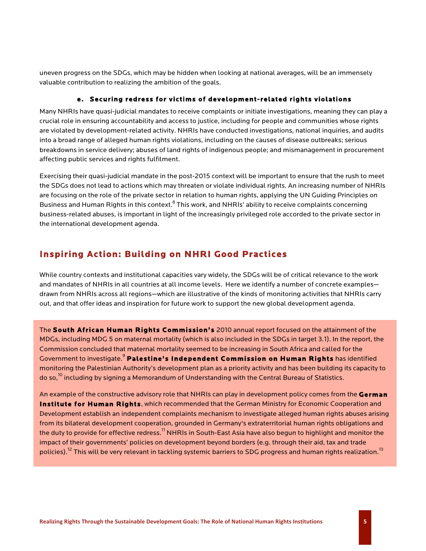uneven progress on the SDGs, which may be hidden when looking at national averages, will be an immensely valuable contribution to realizing the ambition of the goals.

#### **e. Securing redress for victims of development-related rights violations**

Many NHRIs have quasi-judicial mandates to receive complaints or initiate investigations, meaning they can play a crucial role in ensuring accountability and access to justice, including for people and communities whose rights are violated by development-related activity. NHRIs have conducted investigations, national inquiries, and audits into a broad range of alleged human rights violations, including on the causes of disease outbreaks; serious breakdowns in service delivery; abuses of land rights of indigenous people; and mismanagement in procurement affecting public services and rights fulfilment.

Exercising their quasi-judicial mandate in the post-2015 context will be important to ensure that the rush to meet the SDGs does not lead to actions which may threaten or violate individual rights. An increasing number of NHRIs are focusing on the role of the private sector in relation to human rights, applying the UN Guiding Principles on Business and Human Rights in this context.<sup>8</sup> This work, and NHRIs' ability to receive complaints concerning business-related abuses, is important in light of the increasingly privileged role accorded to the private sector in the international development agenda.

## **Inspiring Action: Building on NHRI Good Practices**

While country contexts and institutional capacities vary widely, the SDGs will be of critical relevance to the work and mandates of NHRIs in all countries at all income levels. Here we identify a number of concrete examples drawn from NHRIs across all regions—which are illustrative of the kinds of monitoring activities that NHRIs carry out, and that offer ideas and inspiration for future work to support the new global development agenda.

The **South African Human Rights Commission's** 2010 annual report focused on the attainment of the MDGs, including MDG 5 on maternal mortality (which is also included in the SDGs in target 3.1). In the report, the Commission concluded that maternal mortality seemed to be increasing in South Africa and called for the Government to investigate.<sup>9</sup> **Palestine's Independent Commission on Human Rights** has identified monitoring the Palestinian Authority's development plan as a priority activity and has been building its capacity to do so,<sup>10</sup> including by signing a Memorandum of Understanding with the Central Bureau of Statistics.

An example of the constructive advisory role that NHRIs can play in development policy comes from the **German Institute for Human Rights**, which recommended that the German Ministry for Economic Cooperation and Development establish an independent complaints mechanism to investigate alleged human rights abuses arising from its bilateral development cooperation, grounded in Germany's extraterritorial human rights obligations and the duty to provide for effective redress.<sup>11</sup> NHRIs in South-East Asia have also begun to highlight and monitor the impact of their governments' policies on development beyond borders (e.g. through their aid, tax and trade policies).<sup>12</sup> This will be very relevant in tackling systemic barriers to SDG progress and human rights realization.<sup>13</sup>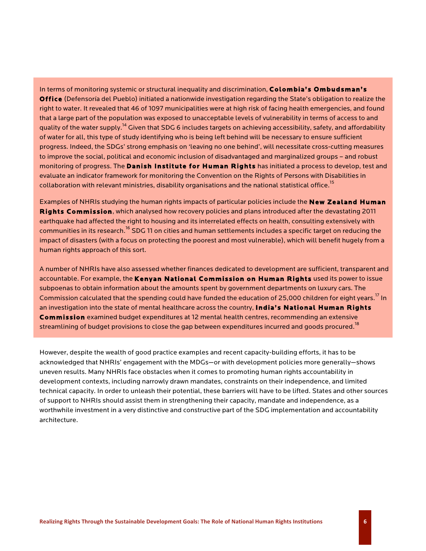In terms of monitoring systemic or structural inequality and discrimination, **Colombia's Ombudsman's Office** (Defensoría del Pueblo) initiated a nationwide investigation regarding the State's obligation to realize the right to water. It revealed that 46 of 1097 municipalities were at high risk of facing health emergencies, and found that a large part of the population was exposed to unacceptable levels of vulnerability in terms of access to and quality of the water supply.<sup>14</sup> Given that SDG 6 includes targets on achieving accessibility, safety, and affordability of water for all, this type of study identifying who is being left behind will be necessary to ensure sufficient progress. Indeed, the SDGs' strong emphasis on 'leaving no one behind', will necessitate cross-cutting measures to improve the social, political and economic inclusion of disadvantaged and marginalized groups – and robust monitoring of progress. The **Danish Institute for Human Rights** has initiated a process to develop, test and evaluate an indicator framework for monitoring the Convention on the Rights of Persons with Disabilities in collaboration with relevant ministries, disability organisations and the national statistical office.<sup>15</sup>

Examples of NHRIs studying the human rights impacts of particular policies include the **New Zealand Human Rights Commission**, which analysed how recovery policies and plans introduced after the devastating 2011 earthquake had affected the right to housing and its interrelated effects on health, consulting extensively with communities in its research.<sup>16</sup> SDG 11 on cities and human settlements includes a specific target on reducing the impact of disasters (with a focus on protecting the poorest and most vulnerable), which will benefit hugely from a human rights approach of this sort.

A number of NHRIs have also assessed whether finances dedicated to development are sufficient, transparent and accountable. For example, the **Kenyan National Commission on Human Rights** used its power to issue subpoenas to obtain information about the amounts spent by government departments on luxury cars. The Commission calculated that the spending could have funded the education of 25,000 children for eight years.<sup>17</sup> In an investigation into the state of mental healthcare across the country, **India's National Human Rights Commission** examined budget expenditures at 12 mental health centres, recommending an extensive streamlining of budget provisions to close the gap between expenditures incurred and goods procured. <sup>18</sup>

However, despite the wealth of good practice examples and recent capacity-building efforts, it has to be acknowledged that NHRIs' engagement with the MDGs—or with development policies more generally—shows uneven results. Many NHRIs face obstacles when it comes to promoting human rights accountability in development contexts, including narrowly drawn mandates, constraints on their independence, and limited technical capacity. In order to unleash their potential, these barriers will have to be lifted. States and other sources of support to NHRIs should assist them in strengthening their capacity, mandate and independence, as a worthwhile investment in a very distinctive and constructive part of the SDG implementation and accountability architecture.